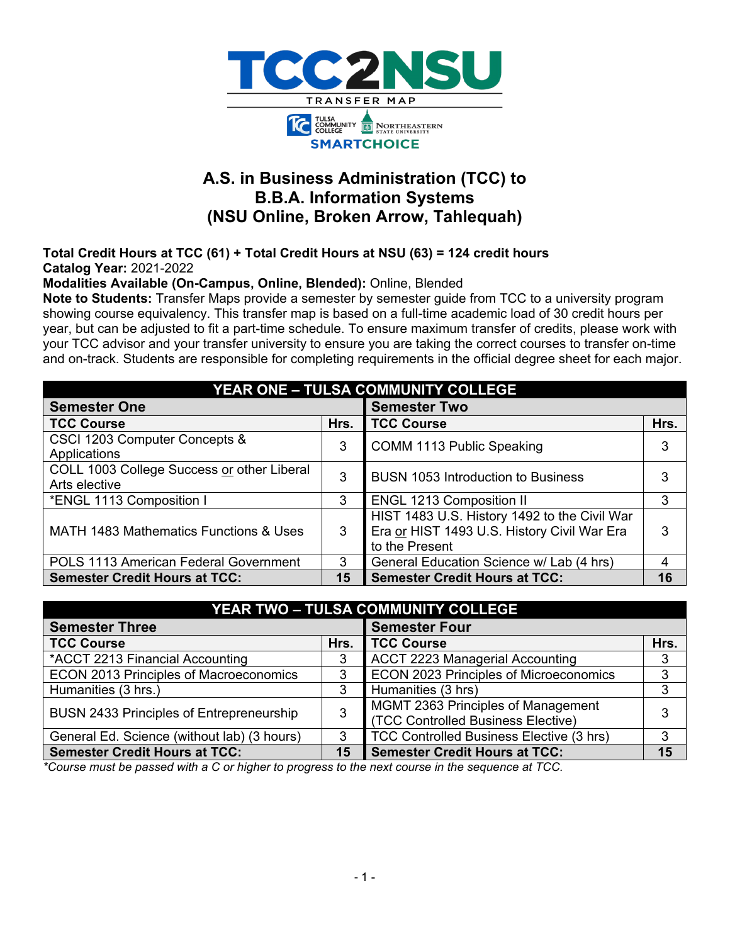

# **A.S. in Business Administration (TCC) to B.B.A. Information Systems (NSU Online, Broken Arrow, Tahlequah)**

**Total Credit Hours at TCC (61) + Total Credit Hours at NSU (63) = 124 credit hours Catalog Year:** 2021-2022

**Modalities Available (On-Campus, Online, Blended):** Online, Blended

**Note to Students:** Transfer Maps provide a semester by semester guide from TCC to a university program showing course equivalency. This transfer map is based on a full-time academic load of 30 credit hours per year, but can be adjusted to fit a part-time schedule. To ensure maximum transfer of credits, please work with your TCC advisor and your transfer university to ensure you are taking the correct courses to transfer on-time and on-track. Students are responsible for completing requirements in the official degree sheet for each major.

| <b>YEAR ONE - TULSA COMMUNITY COLLEGE</b>                   |      |                                                                                                               |      |  |  |  |
|-------------------------------------------------------------|------|---------------------------------------------------------------------------------------------------------------|------|--|--|--|
| <b>Semester One</b>                                         |      | <b>Semester Two</b>                                                                                           |      |  |  |  |
| <b>TCC Course</b>                                           | Hrs. | <b>TCC Course</b>                                                                                             | Hrs. |  |  |  |
| CSCI 1203 Computer Concepts &<br>Applications               | 3    | COMM 1113 Public Speaking                                                                                     | 3    |  |  |  |
| COLL 1003 College Success or other Liberal<br>Arts elective | 3    | <b>BUSN 1053 Introduction to Business</b>                                                                     | 3    |  |  |  |
| *ENGL 1113 Composition I                                    | 3    | <b>ENGL 1213 Composition II</b>                                                                               | 3    |  |  |  |
| MATH 1483 Mathematics Functions & Uses                      | 3    | HIST 1483 U.S. History 1492 to the Civil War<br>Era or HIST 1493 U.S. History Civil War Era<br>to the Present | 3    |  |  |  |
| POLS 1113 American Federal Government                       | 3    | General Education Science w/ Lab (4 hrs)                                                                      |      |  |  |  |
| <b>Semester Credit Hours at TCC:</b>                        | 15   | <b>Semester Credit Hours at TCC:</b>                                                                          | 16   |  |  |  |

| <b>YEAR TWO - TULSA COMMUNITY COLLEGE</b>       |      |                                                                          |      |  |  |  |
|-------------------------------------------------|------|--------------------------------------------------------------------------|------|--|--|--|
| <b>Semester Three</b>                           |      | <b>Semester Four</b>                                                     |      |  |  |  |
| <b>TCC Course</b>                               | Hrs. | <b>TCC Course</b>                                                        | Hrs. |  |  |  |
| *ACCT 2213 Financial Accounting                 | 3    | <b>ACCT 2223 Managerial Accounting</b>                                   | 3    |  |  |  |
| <b>ECON 2013 Principles of Macroeconomics</b>   | 3    | <b>ECON 2023 Principles of Microeconomics</b>                            | 3    |  |  |  |
| Humanities (3 hrs.)                             |      | Humanities (3 hrs)                                                       | 3    |  |  |  |
| <b>BUSN 2433 Principles of Entrepreneurship</b> |      | MGMT 2363 Principles of Management<br>(TCC Controlled Business Elective) | 3    |  |  |  |
| General Ed. Science (without lab) (3 hours)     |      | TCC Controlled Business Elective (3 hrs)                                 | 3    |  |  |  |
| <b>Semester Credit Hours at TCC:</b>            | 15   | <b>Semester Credit Hours at TCC:</b>                                     | 15   |  |  |  |

*\*Course must be passed with a C or higher to progress to the next course in the sequence at TCC.*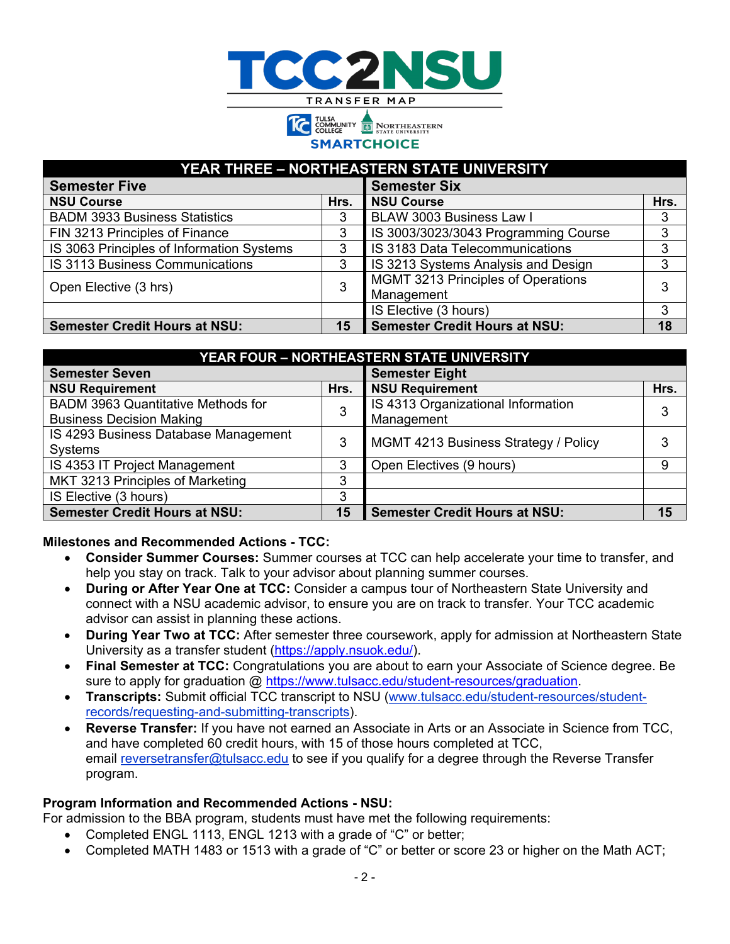



## **YEAR THREE – NORTHEASTERN STATE UNIVERSITY**

| <b>Semester Five</b>                      |      | <b>Semester Six</b>                              |      |
|-------------------------------------------|------|--------------------------------------------------|------|
| <b>NSU Course</b>                         | Hrs. | <b>NSU Course</b>                                | Hrs. |
| <b>BADM 3933 Business Statistics</b>      |      | BLAW 3003 Business Law I                         | 3    |
| FIN 3213 Principles of Finance            |      | IS 3003/3023/3043 Programming Course             | 3    |
| IS 3063 Principles of Information Systems | 3    | IS 3183 Data Telecommunications                  |      |
| IS 3113 Business Communications           |      | IS 3213 Systems Analysis and Design              |      |
| Open Elective (3 hrs)                     |      | MGMT 3213 Principles of Operations<br>Management |      |
|                                           |      | IS Elective (3 hours)                            |      |
| <b>Semester Credit Hours at NSU:</b>      | 15   | <b>Semester Credit Hours at NSU:</b>             | 18   |

| YEAR FOUR - NORTHEASTERN STATE UNIVERSITY |      |                                      |      |  |  |  |
|-------------------------------------------|------|--------------------------------------|------|--|--|--|
| <b>Semester Seven</b>                     |      | <b>Semester Eight</b>                |      |  |  |  |
| <b>NSU Requirement</b>                    | Hrs. | <b>NSU Requirement</b>               | Hrs. |  |  |  |
| BADM 3963 Quantitative Methods for        |      | IS 4313 Organizational Information   |      |  |  |  |
| <b>Business Decision Making</b>           |      | Management                           |      |  |  |  |
| IS 4293 Business Database Management      |      | MGMT 4213 Business Strategy / Policy |      |  |  |  |
| Systems                                   | 3    |                                      |      |  |  |  |
| IS 4353 IT Project Management             |      | Open Electives (9 hours)             | 9    |  |  |  |
| MKT 3213 Principles of Marketing          | 3    |                                      |      |  |  |  |
| IS Elective (3 hours)                     | 3    |                                      |      |  |  |  |
| <b>Semester Credit Hours at NSU:</b>      | 15   | <b>Semester Credit Hours at NSU:</b> | 15   |  |  |  |

### **Milestones and Recommended Actions - TCC:**

- **Consider Summer Courses:** Summer courses at TCC can help accelerate your time to transfer, and help you stay on track. Talk to your advisor about planning summer courses.
- **During or After Year One at TCC:** Consider a campus tour of Northeastern State University and connect with a NSU academic advisor, to ensure you are on track to transfer. Your TCC academic advisor can assist in planning these actions.
- **During Year Two at TCC:** After semester three coursework, apply for admission at Northeastern State University as a transfer student [\(https://apply.nsuok.edu/\)](https://apply.nsuok.edu/).
- **Final Semester at TCC:** Congratulations you are about to earn your Associate of Science degree. Be sure to apply for graduation @ [https://www.tulsacc.edu/student-resources/graduation.](https://www.tulsacc.edu/student-resources/graduation)
- **Transcripts:** Submit official TCC transcript to NSU [\(www.tulsacc.edu/student-resources/student](https://nam02.safelinks.protection.outlook.com/?url=https%3A%2F%2Fwww.tulsacc.edu%2Fstudent-resources%2Fstudent-records%2Frequesting-and-submitting-transcripts&data=02%7C01%7Cemily.tichenor%40tulsacc.edu%7C5598c6763639477e236c08d85f0839bf%7Ceb5d9dc493c645578c2390ef7fa05b96%7C0%7C0%7C637363836231035674&sdata=5lmaWMnEEDKUqbMnQK%2Br2W27bnwkjhyXpRtV%2Fy6ySco%3D&reserved=0)[records/requesting-and-submitting-transcripts\)](https://nam02.safelinks.protection.outlook.com/?url=https%3A%2F%2Fwww.tulsacc.edu%2Fstudent-resources%2Fstudent-records%2Frequesting-and-submitting-transcripts&data=02%7C01%7Cemily.tichenor%40tulsacc.edu%7C5598c6763639477e236c08d85f0839bf%7Ceb5d9dc493c645578c2390ef7fa05b96%7C0%7C0%7C637363836231035674&sdata=5lmaWMnEEDKUqbMnQK%2Br2W27bnwkjhyXpRtV%2Fy6ySco%3D&reserved=0).
- **Reverse Transfer:** If you have not earned an Associate in Arts or an Associate in Science from TCC, and have completed 60 credit hours, with 15 of those hours completed at TCC, email [reversetransfer@tulsacc.edu](mailto:reversetransfer@tulsacc.edu) to see if you qualify for a degree through the Reverse Transfer program.

### **Program Information and Recommended Actions - NSU:**

For admission to the BBA program, students must have met the following requirements:

- Completed ENGL 1113, ENGL 1213 with a grade of "C" or better;
- Completed MATH 1483 or 1513 with a grade of "C" or better or score 23 or higher on the Math ACT;